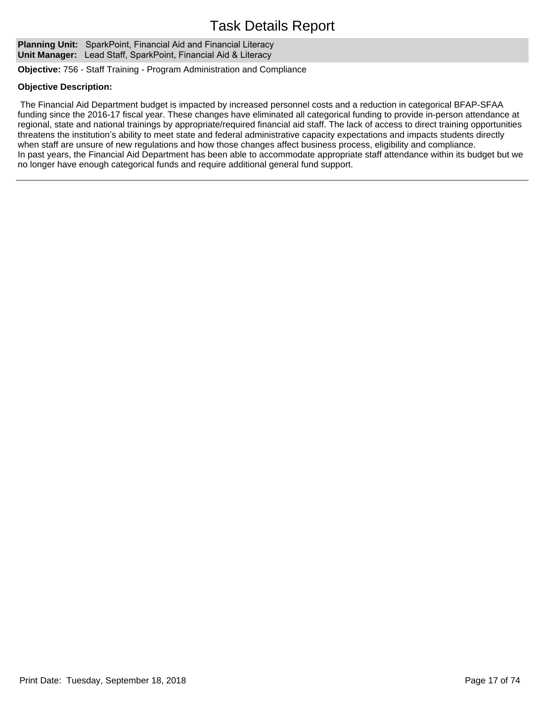**Planning Unit:** SparkPoint, Financial Aid and Financial Literacy **Unit Manager:** Lead Staff, SparkPoint, Financial Aid & Literacy

**Objective:** 756 - Staff Training - Program Administration and Compliance

### **Objective Description:**

 The Financial Aid Department budget is impacted by increased personnel costs and a reduction in categorical BFAP-SFAA funding since the 2016-17 fiscal year. These changes have eliminated all categorical funding to provide in-person attendance at regional, state and national trainings by appropriate/required financial aid staff. The lack of access to direct training opportunities threatens the institution's ability to meet state and federal administrative capacity expectations and impacts students directly when staff are unsure of new regulations and how those changes affect business process, eligibility and compliance. In past years, the Financial Aid Department has been able to accommodate appropriate staff attendance within its budget but we no longer have enough categorical funds and require additional general fund support.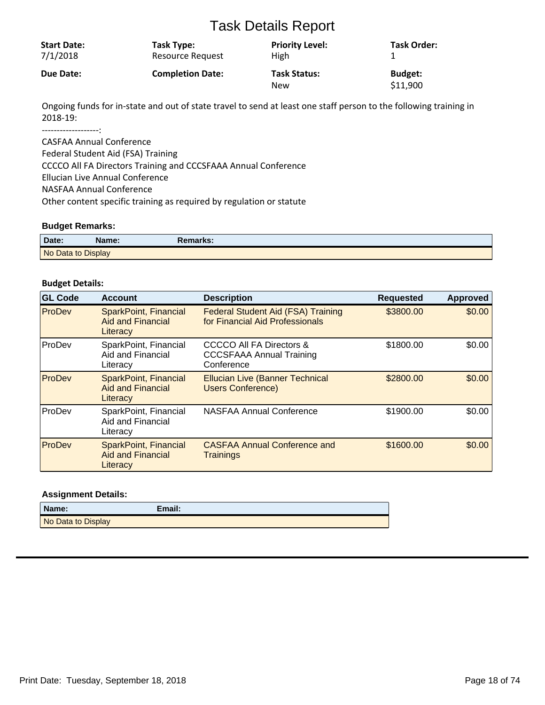| <b>Start Date:</b> | Task Type:              | <b>Priority Level:</b>            | <b>Task Order:</b>         |
|--------------------|-------------------------|-----------------------------------|----------------------------|
| 7/1/2018           | Resource Request        | High                              |                            |
| Due Date:          | <b>Completion Date:</b> | <b>Task Status:</b><br><b>New</b> | <b>Budget:</b><br>\$11,900 |

Ongoing funds for in-state and out of state travel to send at least one staff person to the following training in 2018-19:

-------------------:

CASFAA Annual Conference Federal Student Aid (FSA) Training CCCCO All FA Directors Training and CCCSFAAA Annual Conference Ellucian Live Annual Conference NASFAA Annual Conference Other content specific training as required by regulation or statute

### **Budget Remarks:**

| Date:              | Name: | Remarks: |
|--------------------|-------|----------|
| No Data to Display |       |          |

### **Budget Details:**

| <b>GL Code</b> | <b>Account</b>                                                       | <b>Description</b>                                                                   | <b>Requested</b> | <b>Approved</b> |
|----------------|----------------------------------------------------------------------|--------------------------------------------------------------------------------------|------------------|-----------------|
| ProDev         | <b>SparkPoint, Financial</b><br><b>Aid and Financial</b><br>Literacy | <b>Federal Student Aid (FSA) Training</b><br>for Financial Aid Professionals         | \$3800.00        | \$0.00          |
| ProDev         | SparkPoint, Financial<br>Aid and Financial<br>Literacy               | <b>CCCCO All FA Directors &amp;</b><br><b>CCCSFAAA Annual Training</b><br>Conference | \$1800.00        | \$0.00          |
| ProDev         | <b>SparkPoint, Financial</b><br><b>Aid and Financial</b><br>Literacy | <b>Ellucian Live (Banner Technical</b><br><b>Users Conference)</b>                   | \$2800.00        | \$0.00          |
| ProDev         | SparkPoint, Financial<br>Aid and Financial<br>Literacy               | NASFAA Annual Conference                                                             | \$1900.00        | \$0.00          |
| ProDev         | <b>SparkPoint, Financial</b><br><b>Aid and Financial</b><br>Literacy | <b>CASFAA Annual Conference and</b><br><b>Trainings</b>                              | \$1600.00        | \$0.00          |

| Name:              | $E$ mail: |
|--------------------|-----------|
| No Data to Display |           |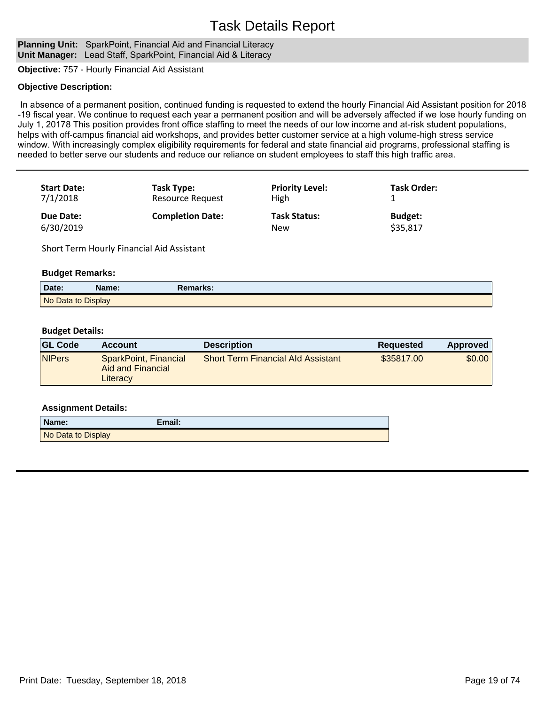#### **Planning Unit:** SparkPoint, Financial Aid and Financial Literacy **Unit Manager:** Lead Staff, SparkPoint, Financial Aid & Literacy

**Objective:** 757 - Hourly Financial Aid Assistant

### **Objective Description:**

In absence of a permanent position, continued funding is requested to extend the hourly Financial Aid Assistant position for 2018 -19 fiscal year. We continue to request each year a permanent position and will be adversely affected if we lose hourly funding on July 1, 20178 This position provides front office staffing to meet the needs of our low income and at-risk student populations, helps with off-campus financial aid workshops, and provides better customer service at a high volume-high stress service window. With increasingly complex eligibility requirements for federal and state financial aid programs, professional staffing is needed to better serve our students and reduce our reliance on student employees to staff this high traffic area.

| <b>Start Date:</b> | Task Type:              | <b>Priority Level:</b> | <b>Task Order:</b> |
|--------------------|-------------------------|------------------------|--------------------|
| 7/1/2018           | <b>Resource Request</b> | High                   |                    |
| <b>Due Date:</b>   | <b>Completion Date:</b> | <b>Task Status:</b>    | <b>Budget:</b>     |
| 6/30/2019          |                         | <b>New</b>             | \$35,817           |

Short Term Hourly Financial Aid Assistant

### **Budget Remarks:**

| Date:              | Name: | Remarks: |  |
|--------------------|-------|----------|--|
| No Data to Display |       |          |  |

### **Budget Details:**

| <b>GL Code</b> | <b>Account</b>                                         | <b>Description</b>                        | Reguested  | Approved |
|----------------|--------------------------------------------------------|-------------------------------------------|------------|----------|
| <b>NIPers</b>  | SparkPoint, Financial<br>Aid and Financial<br>Literacy | <b>Short Term Financial Ald Assistant</b> | \$35817.00 | \$0.001  |

| Name:              | Email: |
|--------------------|--------|
| No Data to Display |        |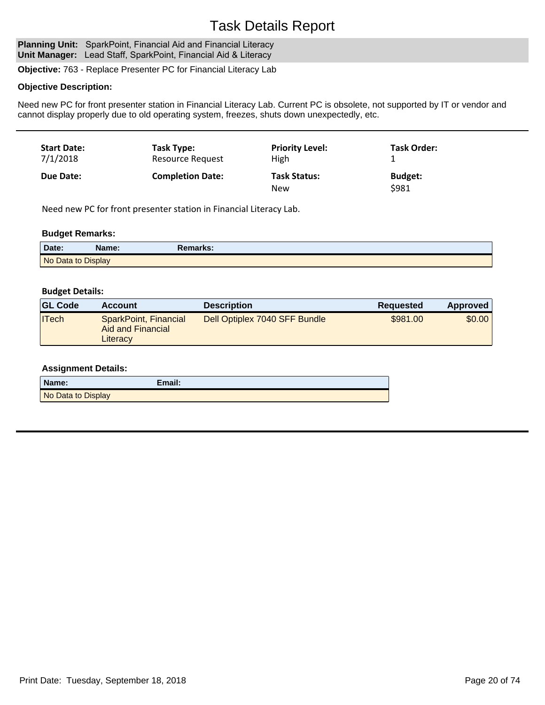Planning Unit: SparkPoint, Financial Aid and Financial Literacy **Unit Manager:** Lead Staff, SparkPoint, Financial Aid & Literacy

**Objective:** 763 - Replace Presenter PC for Financial Literacy Lab

### **Objective Description:**

Need new PC for front presenter station in Financial Literacy Lab. Current PC is obsolete, not supported by IT or vendor and cannot display properly due to old operating system, freezes, shuts down unexpectedly, etc.

| <b>Start Date:</b> | Task Type:              | <b>Priority Level:</b>     | <b>Task Order:</b>      |
|--------------------|-------------------------|----------------------------|-------------------------|
| 7/1/2018           | <b>Resource Request</b> | High                       | ᅩ                       |
| Due Date:          | <b>Completion Date:</b> | <b>Task Status:</b><br>New | <b>Budget:</b><br>\$981 |

Need new PC for front presenter station in Financial Literacy Lab.

### **Budget Remarks:**

| Date:              | Name: | <b>Remarks:</b> |
|--------------------|-------|-----------------|
| No Data to Display |       |                 |

### **Budget Details:**

| <b>GL Code</b> | <b>Account</b>                                         | <b>Description</b>            | Requested | Approved |
|----------------|--------------------------------------------------------|-------------------------------|-----------|----------|
| <b>ITech</b>   | SparkPoint, Financial<br>Aid and Financial<br>Literacy | Dell Optiplex 7040 SFF Bundle | \$981.00  | \$0.00   |

| Name:              | Email: |
|--------------------|--------|
| No Data to Display |        |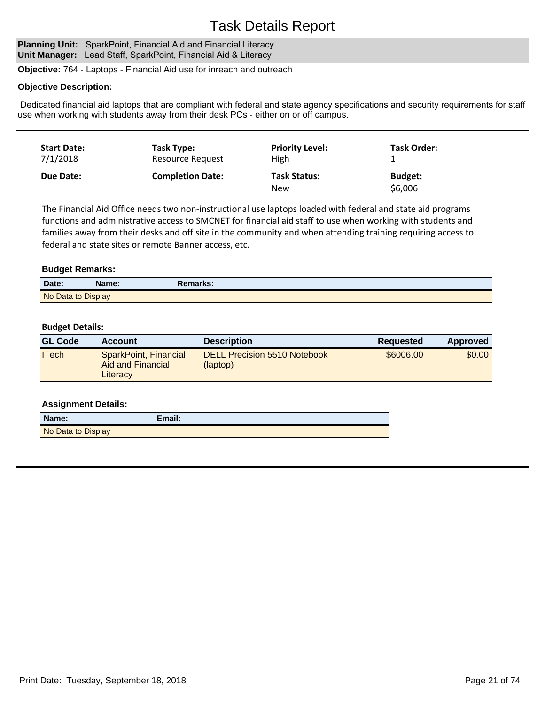#### Planning Unit: SparkPoint, Financial Aid and Financial Literacy **Unit Manager:** Lead Staff, SparkPoint, Financial Aid & Literacy

**Objective:** 764 - Laptops - Financial Aid use for inreach and outreach

### **Objective Description:**

Dedicated financial aid laptops that are compliant with federal and state agency specifications and security requirements for staff use when working with students away from their desk PCs - either on or off campus.

| <b>Start Date:</b> | Task Type:              | <b>Priority Level:</b>            | <b>Task Order:</b>        |
|--------------------|-------------------------|-----------------------------------|---------------------------|
| 7/1/2018           | Resource Request        | High                              |                           |
| <b>Due Date:</b>   | <b>Completion Date:</b> | <b>Task Status:</b><br><b>New</b> | <b>Budget:</b><br>\$6,006 |

The Financial Aid Office needs two non-instructional use laptops loaded with federal and state aid programs functions and administrative access to SMCNET for financial aid staff to use when working with students and families away from their desks and off site in the community and when attending training requiring access to federal and state sites or remote Banner access, etc.

### **Budget Remarks:**

| Date:              | Name: | Remarks: |
|--------------------|-------|----------|
| No Data to Display |       |          |

### **Budget Details:**

| <b>GL Code</b> | <b>Account</b>                                         | <b>Description</b>                              | <b>Requested</b> | <b>Approved</b> |
|----------------|--------------------------------------------------------|-------------------------------------------------|------------------|-----------------|
| $ $ ITech      | SparkPoint, Financial<br>Aid and Financial<br>Literacy | <b>DELL Precision 5510 Notebook</b><br>(laptop) | \$6006.00        | \$0.00          |

| Name:              | Email: |
|--------------------|--------|
| No Data to Display |        |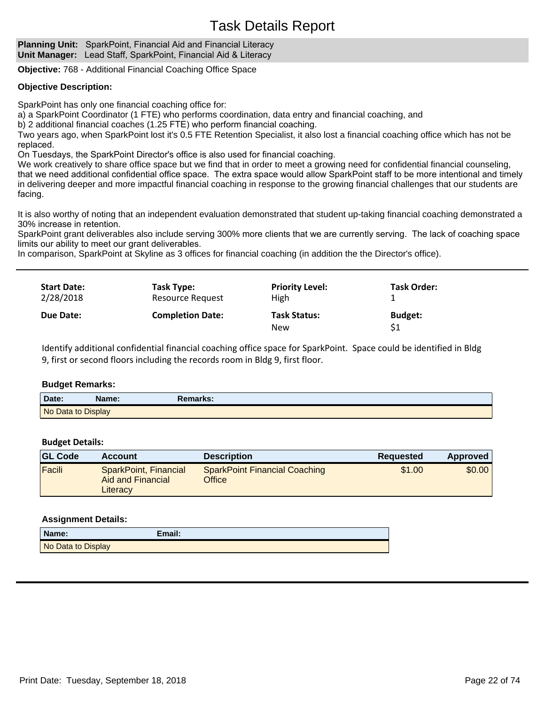**Planning Unit:** SparkPoint, Financial Aid and Financial Literacy **Unit Manager:** Lead Staff, SparkPoint, Financial Aid & Literacy

**Objective:** 768 - Additional Financial Coaching Office Space

### **Objective Description:**

SparkPoint has only one financial coaching office for:

a) a SparkPoint Coordinator (1 FTE) who performs coordination, data entry and financial coaching, and

b) 2 additional financial coaches (1.25 FTE) who perform financial coaching.

Two years ago, when SparkPoint lost it's 0.5 FTE Retention Specialist, it also lost a financial coaching office which has not be replaced.

On Tuesdays, the SparkPoint Director's office is also used for financial coaching.

We work creatively to share office space but we find that in order to meet a growing need for confidential financial counseling, that we need additional confidential office space. The extra space would allow SparkPoint staff to be more intentional and timely in delivering deeper and more impactful financial coaching in response to the growing financial challenges that our students are facing.

It is also worthy of noting that an independent evaluation demonstrated that student up-taking financial coaching demonstrated a 30% increase in retention.

SparkPoint grant deliverables also include serving 300% more clients that we are currently serving. The lack of coaching space limits our ability to meet our grant deliverables.

In comparison, SparkPoint at Skyline as 3 offices for financial coaching (in addition the the Director's office).

| <b>Start Date:</b> | Task Type:              | <b>Priority Level:</b>            | <b>Task Order:</b>   |
|--------------------|-------------------------|-----------------------------------|----------------------|
| 2/28/2018          | <b>Resource Request</b> | High                              |                      |
| Due Date:          | <b>Completion Date:</b> | <b>Task Status:</b><br><b>New</b> | <b>Budget:</b><br>S1 |

Identify additional confidential financial coaching office space for SparkPoint. Space could be identified in Bldg 9, first or second floors including the records room in Bldg 9, first floor.

### **Budget Remarks:**

| Date:              | Name: | Remarks: |  |
|--------------------|-------|----------|--|
| No Data to Display |       |          |  |

### **Budget Details:**

| <b>GL Code</b> | <b>Account</b>                                         | <b>Description</b>                             | Requested | Approved |
|----------------|--------------------------------------------------------|------------------------------------------------|-----------|----------|
| Facili         | SparkPoint, Financial<br>Aid and Financial<br>Literacy | <b>SparkPoint Financial Coaching</b><br>Office | \$1.00    | \$0.00   |

| Name:              | Email: |
|--------------------|--------|
| No Data to Display |        |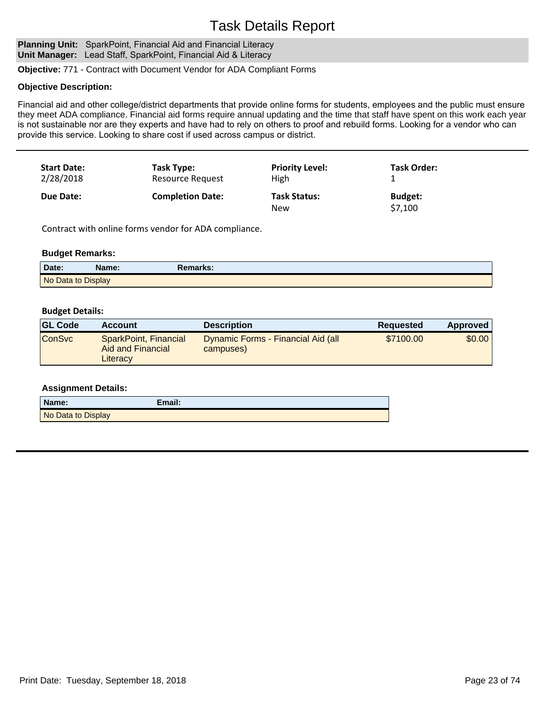Planning Unit: SparkPoint, Financial Aid and Financial Literacy **Unit Manager:** Lead Staff, SparkPoint, Financial Aid & Literacy

**Objective:** 771 - Contract with Document Vendor for ADA Compliant Forms

### **Objective Description:**

Financial aid and other college/district departments that provide online forms for students, employees and the public must ensure they meet ADA compliance. Financial aid forms require annual updating and the time that staff have spent on this work each year is not sustainable nor are they experts and have had to rely on others to proof and rebuild forms. Looking for a vendor who can provide this service. Looking to share cost if used across campus or district.

| <b>Start Date:</b><br>2/28/2018 | Task Type:<br>Resource Request | <b>Priority Level:</b><br>High | <b>Task Order:</b> |
|---------------------------------|--------------------------------|--------------------------------|--------------------|
| Due Date:                       | <b>Completion Date:</b>        | <b>Task Status:</b>            | <b>Budget:</b>     |
|                                 |                                | New                            | \$7,100            |

Contract with online forms vendor for ADA compliance.

### **Budget Remarks:**

| Date:              | Name: | Remarks: |  |
|--------------------|-------|----------|--|
| No Data to Display |       |          |  |

### **Budget Details:**

| <b>GL Code</b> | <b>Account</b>                                         | <b>Description</b>                              | Requested | <b>Approved</b> |
|----------------|--------------------------------------------------------|-------------------------------------------------|-----------|-----------------|
| <b>ConSvc</b>  | SparkPoint, Financial<br>Aid and Financial<br>Literacy | Dynamic Forms - Financial Aid (all<br>campuses) | \$7100.00 | \$0.00          |

| Name:              | Email: |
|--------------------|--------|
| No Data to Display |        |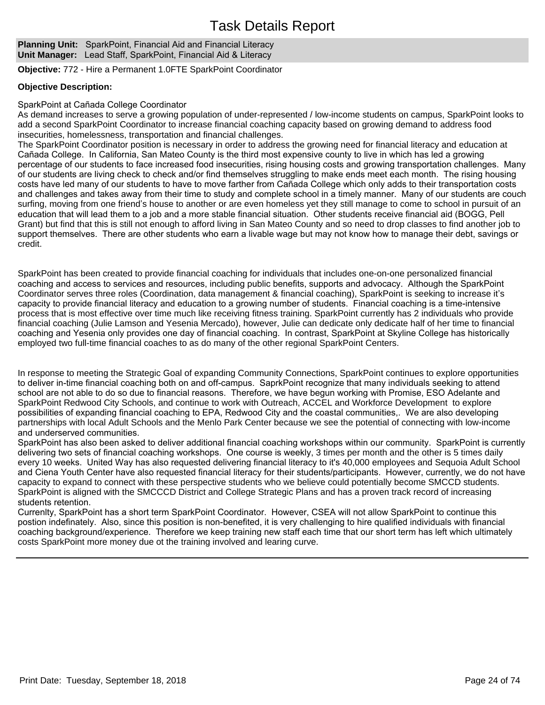### **Planning Unit:** SparkPoint, Financial Aid and Financial Literacy **Unit Manager:** Lead Staff, SparkPoint, Financial Aid & Literacy

**Objective:** 772 - Hire a Permanent 1.0FTE SparkPoint Coordinator

### **Objective Description:**

### SparkPoint at Cañada College Coordinator

As demand increases to serve a growing population of under-represented / low-income students on campus, SparkPoint looks to add a second SparkPoint Coordinator to increase financial coaching capacity based on growing demand to address food insecurities, homelessness, transportation and financial challenges.

The SparkPoint Coordinator position is necessary in order to address the growing need for financial literacy and education at Cañada College. In California, San Mateo County is the third most expensive county to live in which has led a growing percentage of our students to face increased food insecurities, rising housing costs and growing transportation challenges. Many of our students are living check to check and/or find themselves struggling to make ends meet each month. The rising housing costs have led many of our students to have to move farther from Cañada College which only adds to their transportation costs and challenges and takes away from their time to study and complete school in a timely manner. Many of our students are couch surfing, moving from one friend's house to another or are even homeless yet they still manage to come to school in pursuit of an education that will lead them to a job and a more stable financial situation. Other students receive financial aid (BOGG, Pell Grant) but find that this is still not enough to afford living in San Mateo County and so need to drop classes to find another job to support themselves. There are other students who earn a livable wage but may not know how to manage their debt, savings or credit.

SparkPoint has been created to provide financial coaching for individuals that includes one-on-one personalized financial coaching and access to services and resources, including public benefits, supports and advocacy. Although the SparkPoint Coordinator serves three roles (Coordination, data management & financial coaching), SparkPoint is seeking to increase it's capacity to provide financial literacy and education to a growing number of students. Financial coaching is a time-intensive process that is most effective over time much like receiving fitness training. SparkPoint currently has 2 individuals who provide financial coaching (Julie Lamson and Yesenia Mercado), however, Julie can dedicate only dedicate half of her time to financial coaching and Yesenia only provides one day of financial coaching. In contrast, SparkPoint at Skyline College has historically employed two full-time financial coaches to as do many of the other regional SparkPoint Centers.

In response to meeting the Strategic Goal of expanding Community Connections, SparkPoint continues to explore opportunities to deliver in-time financial coaching both on and off-campus. SaprkPoint recognize that many individuals seeking to attend school are not able to do so due to financial reasons. Therefore, we have begun working with Promise, ESO Adelante and SparkPoint Redwood City Schools, and continue to work with Outreach, ACCEL and Workforce Development to explore possibilities of expanding financial coaching to EPA, Redwood City and the coastal communities,. We are also developing partnerships with local Adult Schools and the Menlo Park Center because we see the potential of connecting with low-income and underserved communities.

SparkPoint has also been asked to deliver additional financial coaching workshops within our community. SparkPoint is currently delivering two sets of financial coaching workshops. One course is weekly, 3 times per month and the other is 5 times daily every 10 weeks. United Way has also requested delivering financial literacy to it's 40,000 employees and Sequoia Adult School and Ciena Youth Center have also requested financial literacy for their students/participants. However, currently, we do not have capacity to expand to connect with these perspective students who we believe could potentially become SMCCD students. SparkPoint is aligned with the SMCCCD District and College Strategic Plans and has a proven track record of increasing students retention.

Currenlty, SparkPoint has a short term SparkPoint Coordinator. However, CSEA will not allow SparkPoint to continue this postion indefinately. Also, since this position is non-benefited, it is very challenging to hire qualified individuals with financial coaching background/experience. Therefore we keep training new staff each time that our short term has left which ultimately costs SparkPoint more money due ot the training involved and learing curve.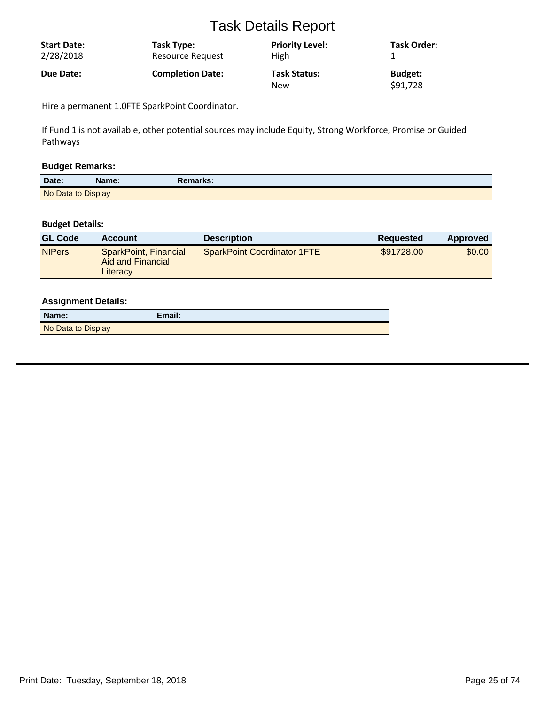| <b>Start Date:</b> | Task Type:              | <b>Priority Level:</b>            | <b>Task Order:</b>         |
|--------------------|-------------------------|-----------------------------------|----------------------------|
| 2/28/2018          | Resource Request        | <b>High</b>                       |                            |
| Due Date:          | <b>Completion Date:</b> | <b>Task Status:</b><br><b>New</b> | <b>Budget:</b><br>\$91,728 |

Hire a permanent 1.0FTE SparkPoint Coordinator.

If Fund 1 is not available, other potential sources may include Equity, Strong Workforce, Promise or Guided Pathways

### **Budget Remarks:**

| Date:              | Name: | Remarks: |  |
|--------------------|-------|----------|--|
| No Data to Display |       |          |  |

### **Budget Details:**

| <b>GL Code</b> | <b>Account</b>                                         | <b>Description</b>                 | Requested  | Approved |
|----------------|--------------------------------------------------------|------------------------------------|------------|----------|
| <b>NIPers</b>  | SparkPoint, Financial<br>Aid and Financial<br>Literacy | <b>SparkPoint Coordinator 1FTE</b> | \$91728.00 | \$0.00   |

| Name:              | Email: |
|--------------------|--------|
| No Data to Display |        |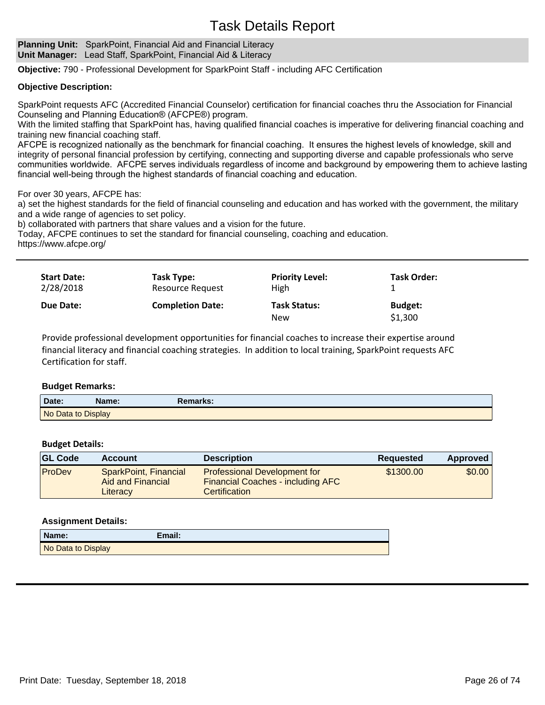### **Planning Unit:** SparkPoint, Financial Aid and Financial Literacy **Unit Manager:** Lead Staff, SparkPoint, Financial Aid & Literacy

**Objective:** 790 - Professional Development for SparkPoint Staff - including AFC Certification

### **Objective Description:**

SparkPoint requests AFC (Accredited Financial Counselor) certification for financial coaches thru the Association for Financial Counseling and Planning Education® (AFCPE®) program.

With the limited staffing that SparkPoint has, having qualified financial coaches is imperative for delivering financial coaching and training new financial coaching staff.

AFCPE is recognized nationally as the benchmark for financial coaching. It ensures the highest levels of knowledge, skill and integrity of personal financial profession by certifying, connecting and supporting diverse and capable professionals who serve communities worldwide. AFCPE serves individuals regardless of income and background by empowering them to achieve lasting financial well-being through the highest standards of financial coaching and education.

For over 30 years, AFCPE has:

a) set the highest standards for the field of financial counseling and education and has worked with the government, the military and a wide range of agencies to set policy.

b) collaborated with partners that share values and a vision for the future.

Today, AFCPE continues to set the standard for financial counseling, coaching and education.

https://www.afcpe.org/

| <b>Start Date:</b> | Task Type:              | <b>Priority Level:</b>            | <b>Task Order:</b>        |
|--------------------|-------------------------|-----------------------------------|---------------------------|
| 2/28/2018          | <b>Resource Request</b> | High                              |                           |
| Due Date:          | <b>Completion Date:</b> | <b>Task Status:</b><br><b>New</b> | <b>Budget:</b><br>\$1,300 |

Provide professional development opportunities for financial coaches to increase their expertise around financial literacy and financial coaching strategies. In addition to local training, SparkPoint requests AFC Certification for staff.

### **Budget Remarks:**

| Date:              | Name: | Remarks: |
|--------------------|-------|----------|
| No Data to Display |       |          |

### **Budget Details:**

| <b>GL Code</b> | <b>Account</b>                                         | <b>Description</b>                                                                                      | Reguested | Approved |
|----------------|--------------------------------------------------------|---------------------------------------------------------------------------------------------------------|-----------|----------|
| ProDev         | SparkPoint, Financial<br>Aid and Financial<br>Literacy | <b>Professional Development for</b><br><b>Financial Coaches - including AFC</b><br><b>Certification</b> | \$1300.00 | \$0.00   |

| Name:              | Email: |
|--------------------|--------|
| No Data to Display |        |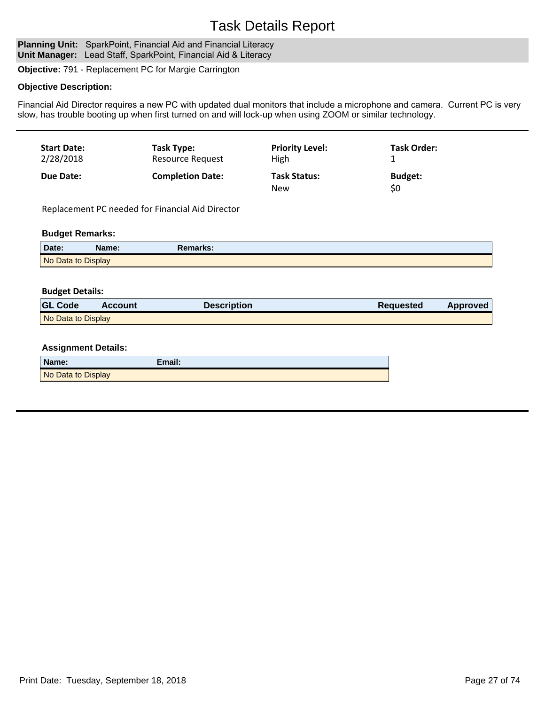#### Planning Unit: SparkPoint, Financial Aid and Financial Literacy **Unit Manager:** Lead Staff, SparkPoint, Financial Aid & Literacy

**Objective:** 791 - Replacement PC for Margie Carrington

### **Objective Description:**

Financial Aid Director requires a new PC with updated dual monitors that include a microphone and camera. Current PC is very slow, has trouble booting up when first turned on and will lock-up when using ZOOM or similar technology.

| <b>Start Date:</b> | Task Type:              | <b>Priority Level:</b>            | <b>Task Order:</b>    |
|--------------------|-------------------------|-----------------------------------|-----------------------|
| 2/28/2018          | <b>Resource Request</b> | High                              |                       |
| Due Date:          | <b>Completion Date:</b> | <b>Task Status:</b><br><b>New</b> | <b>Budget:</b><br>\$0 |

Replacement PC needed for Financial Aid Director

#### **Budget Remarks:**

| Date:              | Name: | Remarks: |
|--------------------|-------|----------|
| No Data to Display |       |          |

### **Budget Details:**

| <b>GL Code</b>     | <b>Account</b> | <b>Description</b> | <b>Requested</b> | Approved |
|--------------------|----------------|--------------------|------------------|----------|
| No Data to Display |                |                    |                  |          |

| Name:              | Email: |
|--------------------|--------|
| No Data to Display |        |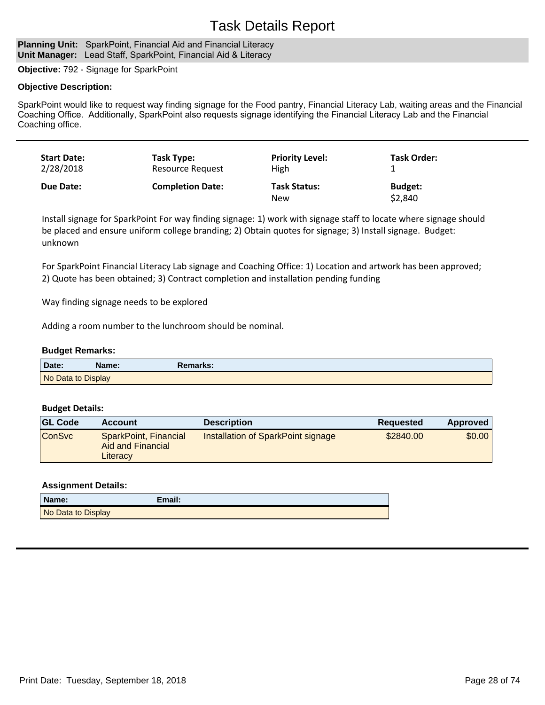#### **Planning Unit:** SparkPoint, Financial Aid and Financial Literacy **Unit Manager:** Lead Staff, SparkPoint, Financial Aid & Literacy

**Objective:** 792 - Signage for SparkPoint

### **Objective Description:**

SparkPoint would like to request way finding signage for the Food pantry, Financial Literacy Lab, waiting areas and the Financial Coaching Office. Additionally, SparkPoint also requests signage identifying the Financial Literacy Lab and the Financial Coaching office.

| <b>Start Date:</b> | Task Type:              | <b>Priority Level:</b>     | Task Order:               |
|--------------------|-------------------------|----------------------------|---------------------------|
| 2/28/2018          | Resource Request        | High                       |                           |
| Due Date:          | <b>Completion Date:</b> | <b>Task Status:</b><br>New | <b>Budget:</b><br>\$2,840 |

Install signage for SparkPoint For way finding signage: 1) work with signage staff to locate where signage should be placed and ensure uniform college branding; 2) Obtain quotes for signage; 3) Install signage. Budget: unknown

For SparkPoint Financial Literacy Lab signage and Coaching Office: 1) Location and artwork has been approved; 2) Quote has been obtained; 3) Contract completion and installation pending funding

Way finding signage needs to be explored

Adding a room number to the lunchroom should be nominal.

#### **Budget Remarks:**

| Date:              | Name: | Remarks: |
|--------------------|-------|----------|
| No Data to Display |       |          |

### **Budget Details:**

| <b>GL Code</b> | <b>Account</b>                                         | <b>Description</b>                 | Requested | Approved |
|----------------|--------------------------------------------------------|------------------------------------|-----------|----------|
| <b>ConSvc</b>  | SparkPoint, Financial<br>Aid and Financial<br>Literacy | Installation of SparkPoint signage | \$2840.00 | \$0.00   |

| Name: |                    | Email: |
|-------|--------------------|--------|
|       | No Data to Display |        |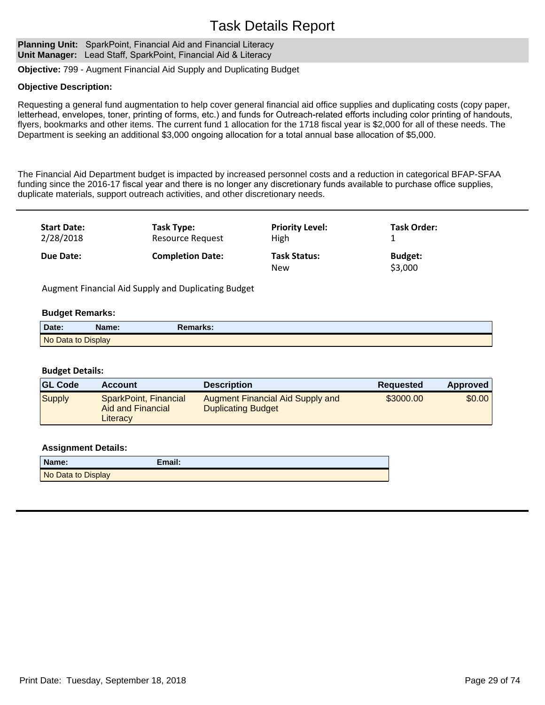Planning Unit: SparkPoint, Financial Aid and Financial Literacy **Unit Manager:** Lead Staff, SparkPoint, Financial Aid & Literacy

**Objective:** 799 - Augment Financial Aid Supply and Duplicating Budget

### **Objective Description:**

Requesting a general fund augmentation to help cover general financial aid office supplies and duplicating costs (copy paper, letterhead, envelopes, toner, printing of forms, etc.) and funds for Outreach-related efforts including color printing of handouts, flyers, bookmarks and other items. The current fund 1 allocation for the 1718 fiscal year is \$2,000 for all of these needs. The Department is seeking an additional \$3,000 ongoing allocation for a total annual base allocation of \$5,000.

The Financial Aid Department budget is impacted by increased personnel costs and a reduction in categorical BFAP-SFAA funding since the 2016-17 fiscal year and there is no longer any discretionary funds available to purchase office supplies, duplicate materials, support outreach activities, and other discretionary needs.

| <b>Start Date:</b> | Task Type:              | <b>Priority Level:</b>            | <b>Task Order:</b>        |
|--------------------|-------------------------|-----------------------------------|---------------------------|
| 2/28/2018          | Resource Request        | High                              |                           |
| Due Date:          | <b>Completion Date:</b> | <b>Task Status:</b><br><b>New</b> | <b>Budget:</b><br>\$3,000 |

Augment Financial Aid Supply and Duplicating Budget

### **Budget Remarks:**

| Date:              | Name: | <b>Remarks:</b> |  |
|--------------------|-------|-----------------|--|
| No Data to Display |       |                 |  |

### **Budget Details:**

| <b>GL Code</b> | <b>Account</b>                                         | <b>Description</b>                                                   | <b>Requested</b> | <b>Approved</b> |
|----------------|--------------------------------------------------------|----------------------------------------------------------------------|------------------|-----------------|
| Supply         | SparkPoint, Financial<br>Aid and Financial<br>Literacy | <b>Augment Financial Aid Supply and</b><br><b>Duplicating Budget</b> | \$3000.00        | \$0.00          |

| Name:              | Email: |
|--------------------|--------|
| No Data to Display |        |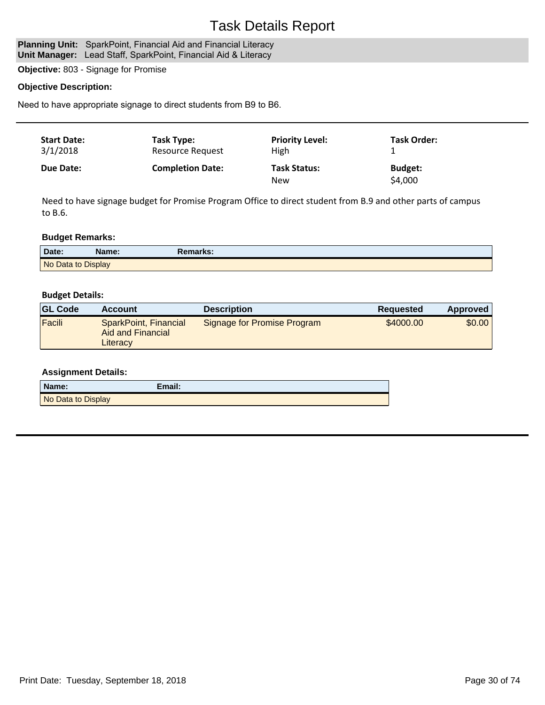### Planning Unit: SparkPoint, Financial Aid and Financial Literacy

Unit Manager: Lead Staff, SparkPoint, Financial Aid & Literacy

**Objective:** 803 - Signage for Promise

### **Objective Description:**

Need to have appropriate signage to direct students from B9 to B6.

| <b>Start Date:</b><br>3/1/2018 | Task Type:<br><b>Resource Request</b> | <b>Priority Level:</b><br>High    | <b>Task Order:</b>        |  |
|--------------------------------|---------------------------------------|-----------------------------------|---------------------------|--|
| Due Date:                      | <b>Completion Date:</b>               | <b>Task Status:</b><br><b>New</b> | <b>Budget:</b><br>\$4,000 |  |

Need to have signage budget for Promise Program Office to direct student from B.9 and other parts of campus to B.6.

### **Budget Remarks:**

| Date:              | Name: | Remarks: |  |
|--------------------|-------|----------|--|
| No Data to Display |       |          |  |

### **Budget Details:**

| <b>GL Code</b> | <b>Account</b>                                         | <b>Description</b>          | <b>Requested</b> | Approved |
|----------------|--------------------------------------------------------|-----------------------------|------------------|----------|
| Facili         | SparkPoint, Financial<br>Aid and Financial<br>Literacy | Signage for Promise Program | \$4000.00        | \$0.00   |

| Name:              | Email: |
|--------------------|--------|
| No Data to Display |        |